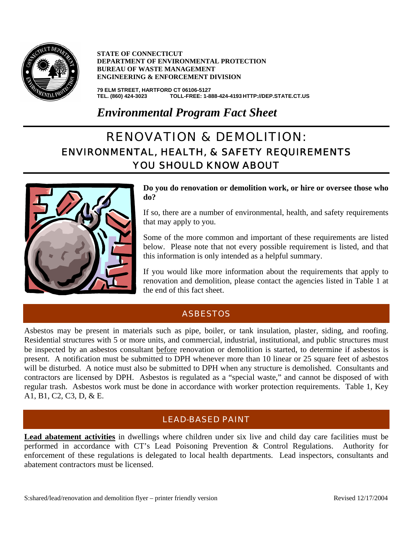

**STATE OF CONNECTICUT DEPARTMENT OF ENVIRONMENTAL PROTECTION BUREAU OF WASTE MANAGEMENT ENGINEERING & ENFORCEMENT DIVISION**

**79 ELM STREET, HARTFORD CT 06106-5127 TEL. (860) 424-3023 TOLL-FREE: 1-888-424-4193 HTTP://DEP.STATE.CT.US**

*Environmental Program Fact Sheet*

# RENOVATION & DEMOLITION: ENVIRONMENTAL, HEALTH, & SAFETY REQUIREMENTS YOU SHOULD KNOW ABOUT



**Do you do renovation or demolition work, or hire or oversee those who do?** 

If so, there are a number of environmental, health, and safety requirements that may apply to you.

Some of the more common and important of these requirements are listed below. Please note that not every possible requirement is listed, and that this information is only intended as a helpful summary.

If you would like more information about the requirements that apply to renovation and demolition, please contact the agencies listed in Table 1 at the end of this fact sheet.

# **ASBESTOS**

Asbestos may be present in materials such as pipe, boiler, or tank insulation, plaster, siding, and roofing. Residential structures with 5 or more units, and commercial, industrial, institutional, and public structures must be inspected by an asbestos consultant before renovation or demolition is started, to determine if asbestos is present. A notification must be submitted to DPH whenever more than 10 linear or 25 square feet of asbestos will be disturbed. A notice must also be submitted to DPH when any structure is demolished. Consultants and contractors are licensed by DPH. Asbestos is regulated as a "special waste," and cannot be disposed of with regular trash. Asbestos work must be done in accordance with worker protection requirements. Table 1, Key A1, B1, C2, C3, D, & E.

# LEAD-BASED PAINT

**Lead abatement activities** in dwellings where children under six live and child day care facilities must be performed in accordance with CT's Lead Poisoning Prevention & Control Regulations. Authority for enforcement of these regulations is delegated to local health departments. Lead inspectors, consultants and abatement contractors must be licensed.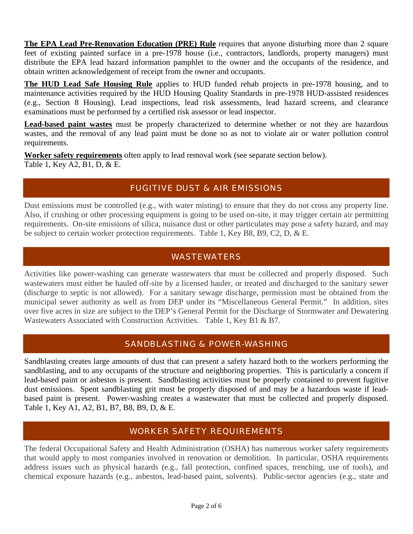**The EPA Lead Pre-Renovation Education (PRE) Rule** requires that anyone disturbing more than 2 square feet of existing painted surface in a pre-1978 house (i.e., contractors, landlords, property managers) must distribute the EPA lead hazard information pamphlet to the owner and the occupants of the residence, and obtain written acknowledgement of receipt from the owner and occupants.

**The HUD Lead Safe Housing Rule** applies to HUD funded rehab projects in pre-1978 housing, and to maintenance activities required by the HUD Housing Quality Standards in pre-1978 HUD-assisted residences (e.g., Section 8 Housing). Lead inspections, lead risk assessments, lead hazard screens, and clearance examinations must be performed by a certified risk assessor or lead inspector.

**Lead-based paint wastes** must be properly characterized to determine whether or not they are hazardous wastes, and the removal of any lead paint must be done so as not to violate air or water pollution control requirements.

**Worker safety requirements** often apply to lead removal work (see separate section below). Table 1, Key A2, B1, D, & E.

### FUGITIVE DUST & AIR EMISSIONS

Dust emissions must be controlled (e.g., with water misting) to ensure that they do not cross any property line. Also, if crushing or other processing equipment is going to be used on-site, it may trigger certain air permitting requirements. On-site emissions of silica, nuisance dust or other particulates may pose a safety hazard, and may be subject to certain worker protection requirements. Table 1, Key B8, B9, C2, D, & E.

# WASTEWATERS

Activities like power-washing can generate wastewaters that must be collected and properly disposed. Such wastewaters must either be hauled off-site by a licensed hauler, or treated and discharged to the sanitary sewer (discharge to septic is not allowed). For a sanitary sewage discharge, permission must be obtained from the municipal sewer authority as well as from DEP under its "Miscellaneous General Permit." In addition, sites over five acres in size are subject to the DEP's General Permit for the Discharge of Stormwater and Dewatering Wastewaters Associated with Construction Activities. Table 1, Key B1 & B7.

# SANDBLASTING & POWER-WASHING

Sandblasting creates large amounts of dust that can present a safety hazard both to the workers performing the sandblasting, and to any occupants of the structure and neighboring properties. This is particularly a concern if lead-based paint or asbestos is present. Sandblasting activities must be properly contained to prevent fugitive dust emissions. Spent sandblasting grit must be properly disposed of and may be a hazardous waste if leadbased paint is present. Power-washing creates a wastewater that must be collected and properly disposed. Table 1, Key A1, A2, B1, B7, B8, B9, D, & E.

# WORKER SAFETY REQUIREMENTS

The federal Occupational Safety and Health Administration (OSHA) has numerous worker safety requirements that would apply to most companies involved in renovation or demolition. In particular, OSHA requirements address issues such as physical hazards (e.g., fall protection, confined spaces, trenching, use of tools), and chemical exposure hazards (e.g., asbestos, lead-based paint, solvents). Public-sector agencies (e.g., state and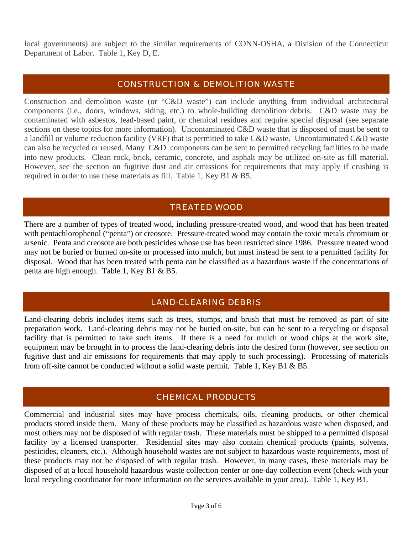local governments) are subject to the similar requirements of CONN-OSHA, a Division of the Connecticut Department of Labor. Table 1, Key D, E.

#### CONSTRUCTION & DEMOLITION WASTE

Construction and demolition waste (or "C&D waste") can include anything from individual architectural components (i.e., doors, windows, siding, etc.) to whole-building demolition debris. C&D waste may be contaminated with asbestos, lead-based paint, or chemical residues and require special disposal (see separate sections on these topics for more information). Uncontaminated C&D waste that is disposed of must be sent to a landfill or volume reduction facility (VRF) that is permitted to take C&D waste. Uncontaminated C&D waste can also be recycled or reused. Many C&D components can be sent to permitted recycling facilities to be made into new products. Clean rock, brick, ceramic, concrete, and asphalt may be utilized on-site as fill material. However, see the section on fugitive dust and air emissions for requirements that may apply if crushing is required in order to use these materials as fill. Table 1, Key B1 & B5.

### TREATED WOOD

There are a number of types of treated wood, including pressure-treated wood, and wood that has been treated with pentachlorophenol ("penta") or creosote. Pressure-treated wood may contain the toxic metals chromium or arsenic. Penta and creosote are both pesticides whose use has been restricted since 1986. Pressure treated wood may not be buried or burned on-site or processed into mulch, but must instead be sent to a permitted facility for disposal. Wood that has been treated with penta can be classified as a hazardous waste if the concentrations of penta are high enough. Table 1, Key B1 & B5.

# LAND-CLEARING DEBRIS

Land-clearing debris includes items such as trees, stumps, and brush that must be removed as part of site preparation work. Land-clearing debris may not be buried on-site, but can be sent to a recycling or disposal facility that is permitted to take such items. If there is a need for mulch or wood chips at the work site, equipment may be brought in to process the land-clearing debris into the desired form (however, see section on fugitive dust and air emissions for requirements that may apply to such processing). Processing of materials from off-site cannot be conducted without a solid waste permit. Table 1, Key B1 & B5.

#### CHEMICAL PRODUCTS

Commercial and industrial sites may have process chemicals, oils, cleaning products, or other chemical products stored inside them. Many of these products may be classified as hazardous waste when disposed, and most others may not be disposed of with regular trash. These materials must be shipped to a permitted disposal facility by a licensed transporter. Residential sites may also contain chemical products (paints, solvents, pesticides, cleaners, etc.). Although household wastes are not subject to hazardous waste requirements, most of these products may not be disposed of with regular trash. However, in many cases, these materials may be disposed of at a local household hazardous waste collection center or one-day collection event (check with your local recycling coordinator for more information on the services available in your area). Table 1, Key B1.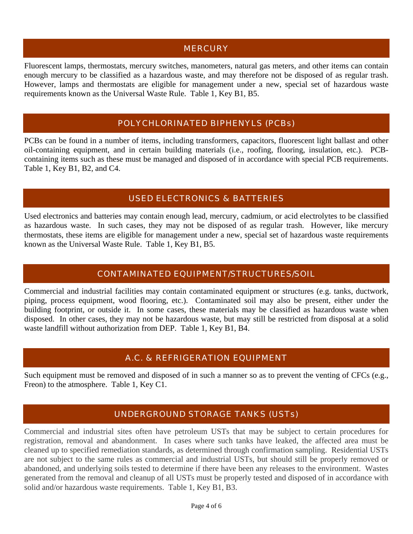#### **MERCURY**

Fluorescent lamps, thermostats, mercury switches, manometers, natural gas meters, and other items can contain enough mercury to be classified as a hazardous waste, and may therefore not be disposed of as regular trash. However, lamps and thermostats are eligible for management under a new, special set of hazardous waste requirements known as the Universal Waste Rule. Table 1, Key B1, B5.

#### POLYCHLORINATED BIPHENYLS (PCBs)

PCBs can be found in a number of items, including transformers, capacitors, fluorescent light ballast and other oil-containing equipment, and in certain building materials (i.e., roofing, flooring, insulation, etc.). PCBcontaining items such as these must be managed and disposed of in accordance with special PCB requirements. Table 1, Key B1, B2, and C4.

#### USED ELECTRONICS & BATTERIES

Used electronics and batteries may contain enough lead, mercury, cadmium, or acid electrolytes to be classified as hazardous waste. In such cases, they may not be disposed of as regular trash. However, like mercury thermostats, these items are eligible for management under a new, special set of hazardous waste requirements known as the Universal Waste Rule. Table 1, Key B1, B5.

#### CONTAMINATED EQUIPMENT/STRUCTURES/SOIL

Commercial and industrial facilities may contain contaminated equipment or structures (e.g. tanks, ductwork, piping, process equipment, wood flooring, etc.). Contaminated soil may also be present, either under the building footprint, or outside it. In some cases, these materials may be classified as hazardous waste when disposed. In other cases, they may not be hazardous waste, but may still be restricted from disposal at a solid waste landfill without authorization from DEP. Table 1, Key B1, B4.

#### A.C. & REFRIGERATION EQUIPMENT

Such equipment must be removed and disposed of in such a manner so as to prevent the venting of CFCs (e.g., Freon) to the atmosphere. Table 1, Key C1.

#### UNDERGROUND STORAGE TANKS (USTs)

Commercial and industrial sites often have petroleum USTs that may be subject to certain procedures for registration, removal and abandonment. In cases where such tanks have leaked, the affected area must be cleaned up to specified remediation standards, as determined through confirmation sampling. Residential USTs are not subject to the same rules as commercial and industrial USTs, but should still be properly removed or abandoned, and underlying soils tested to determine if there have been any releases to the environment. Wastes generated from the removal and cleanup of all USTs must be properly tested and disposed of in accordance with solid and/or hazardous waste requirements. Table 1, Key B1, B3.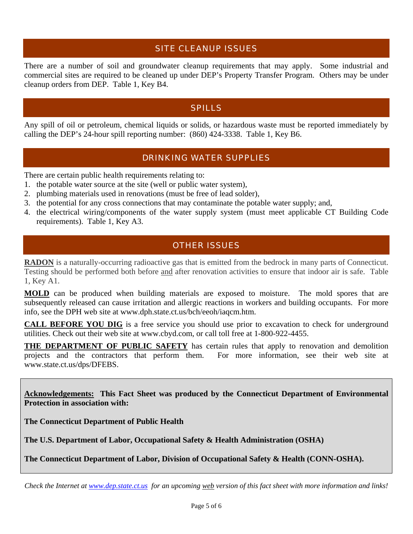#### SITE CLEANUP ISSUES

There are a number of soil and groundwater cleanup requirements that may apply. Some industrial and commercial sites are required to be cleaned up under DEP's Property Transfer Program. Others may be under cleanup orders from DEP. Table 1, Key B4.

#### SPILLS

Any spill of oil or petroleum, chemical liquids or solids, or hazardous waste must be reported immediately by calling the DEP's 24-hour spill reporting number: (860) 424-3338. Table 1, Key B6.

#### DRINKING WATER SUPPLIES

There are certain public health requirements relating to:

- 1. the potable water source at the site (well or public water system),
- 2. plumbing materials used in renovations (must be free of lead solder),
- 3. the potential for any cross connections that may contaminate the potable water supply; and,
- 4. the electrical wiring/components of the water supply system (must meet applicable CT Building Code requirements). Table 1, Key A3.

# OTHER ISSUES

**RADON** is a naturally-occurring radioactive gas that is emitted from the bedrock in many parts of Connecticut. Testing should be performed both before and after renovation activities to ensure that indoor air is safe. Table 1, Key A1.

**MOLD** can be produced when building materials are exposed to moisture. The mold spores that are subsequently released can cause irritation and allergic reactions in workers and building occupants. For more info, see the DPH web site at [www.dph.state.ct.us/bch/eeoh/iaqcm.htm.](http://www.dph.state.ct.us/bch/eeoh/iaqcm.htm)

**CALL BEFORE YOU DIG** is a free service you should use prior to excavation to check for underground utilities. Check out their web site at [www.cbyd.com](http://www.cbyd.com/), or call toll free at 1-800-922-4455.

**THE DEPARTMENT OF PUBLIC SAFETY** has certain rules that apply to renovation and demolition projects and the contractors that perform them. For more information, see their web site at [www.state.ct.us/dps/DFEBS.](http://www.state.ct.us/dps/DFEBS)

**Acknowledgements: This Fact Sheet was produced by the Connecticut Department of Environmental Protection in association with:**

**The Connecticut Department of Public Health** 

**The U.S. Department of Labor, Occupational Safety & Health Administration (OSHA)** 

**The Connecticut Department of Labor, Division of Occupational Safety & Health (CONN-OSHA).** 

*Check the Internet at [www.dep.state.ct.us](http://www.dep.state.ct.us/) for an upcoming web version of this fact sheet with more information and links!*